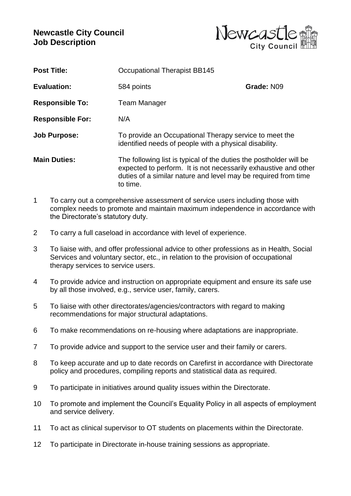## **Newcastle City Council Job Description**



| <b>Post Title:</b>      | <b>Occupational Therapist BB145</b>                                                                                                                                                                                 |            |
|-------------------------|---------------------------------------------------------------------------------------------------------------------------------------------------------------------------------------------------------------------|------------|
| <b>Evaluation:</b>      | 584 points                                                                                                                                                                                                          | Grade: N09 |
| <b>Responsible To:</b>  | Team Manager                                                                                                                                                                                                        |            |
| <b>Responsible For:</b> | N/A                                                                                                                                                                                                                 |            |
| <b>Job Purpose:</b>     | To provide an Occupational Therapy service to meet the<br>identified needs of people with a physical disability.                                                                                                    |            |
| <b>Main Duties:</b>     | The following list is typical of the duties the postholder will be<br>expected to perform. It is not necessarily exhaustive and other<br>duties of a similar nature and level may be required from time<br>to time. |            |

- 1 To carry out a comprehensive assessment of service users including those with complex needs to promote and maintain maximum independence in accordance with the Directorate's statutory duty.
- 2 To carry a full caseload in accordance with level of experience.
- 3 To liaise with, and offer professional advice to other professions as in Health, Social Services and voluntary sector, etc., in relation to the provision of occupational therapy services to service users.
- 4 To provide advice and instruction on appropriate equipment and ensure its safe use by all those involved, e.g., service user, family, carers.
- 5 To liaise with other directorates/agencies/contractors with regard to making recommendations for major structural adaptations.
- 6 To make recommendations on re-housing where adaptations are inappropriate.
- 7 To provide advice and support to the service user and their family or carers.
- 8 To keep accurate and up to date records on Carefirst in accordance with Directorate policy and procedures, compiling reports and statistical data as required.
- 9 To participate in initiatives around quality issues within the Directorate.
- 10 To promote and implement the Council's Equality Policy in all aspects of employment and service delivery.
- 11 To act as clinical supervisor to OT students on placements within the Directorate.
- 12 To participate in Directorate in-house training sessions as appropriate.